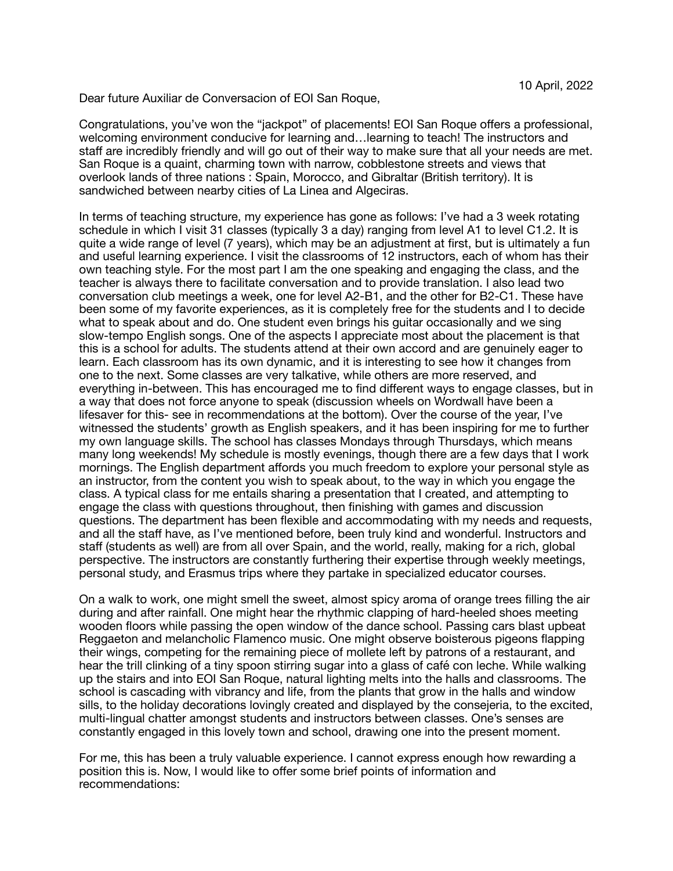Dear future Auxiliar de Conversacion of EOI San Roque,

Congratulations, you've won the "jackpot" of placements! EOI San Roque offers a professional, welcoming environment conducive for learning and…learning to teach! The instructors and staff are incredibly friendly and will go out of their way to make sure that all your needs are met. San Roque is a quaint, charming town with narrow, cobblestone streets and views that overlook lands of three nations : Spain, Morocco, and Gibraltar (British territory). It is sandwiched between nearby cities of La Linea and Algeciras.

In terms of teaching structure, my experience has gone as follows: I've had a 3 week rotating schedule in which I visit 31 classes (typically 3 a day) ranging from level A1 to level C1.2. It is quite a wide range of level (7 years), which may be an adjustment at first, but is ultimately a fun and useful learning experience. I visit the classrooms of 12 instructors, each of whom has their own teaching style. For the most part I am the one speaking and engaging the class, and the teacher is always there to facilitate conversation and to provide translation. I also lead two conversation club meetings a week, one for level A2-B1, and the other for B2-C1. These have been some of my favorite experiences, as it is completely free for the students and I to decide what to speak about and do. One student even brings his guitar occasionally and we sing slow-tempo English songs. One of the aspects I appreciate most about the placement is that this is a school for adults. The students attend at their own accord and are genuinely eager to learn. Each classroom has its own dynamic, and it is interesting to see how it changes from one to the next. Some classes are very talkative, while others are more reserved, and everything in-between. This has encouraged me to find different ways to engage classes, but in a way that does not force anyone to speak (discussion wheels on Wordwall have been a lifesaver for this- see in recommendations at the bottom). Over the course of the year, I've witnessed the students' growth as English speakers, and it has been inspiring for me to further my own language skills. The school has classes Mondays through Thursdays, which means many long weekends! My schedule is mostly evenings, though there are a few days that I work mornings. The English department affords you much freedom to explore your personal style as an instructor, from the content you wish to speak about, to the way in which you engage the class. A typical class for me entails sharing a presentation that I created, and attempting to engage the class with questions throughout, then finishing with games and discussion questions. The department has been flexible and accommodating with my needs and requests, and all the staff have, as I've mentioned before, been truly kind and wonderful. Instructors and staff (students as well) are from all over Spain, and the world, really, making for a rich, global perspective. The instructors are constantly furthering their expertise through weekly meetings, personal study, and Erasmus trips where they partake in specialized educator courses.

On a walk to work, one might smell the sweet, almost spicy aroma of orange trees filling the air during and after rainfall. One might hear the rhythmic clapping of hard-heeled shoes meeting wooden floors while passing the open window of the dance school. Passing cars blast upbeat Reggaeton and melancholic Flamenco music. One might observe boisterous pigeons flapping their wings, competing for the remaining piece of mollete left by patrons of a restaurant, and hear the trill clinking of a tiny spoon stirring sugar into a glass of café con leche. While walking up the stairs and into EOI San Roque, natural lighting melts into the halls and classrooms. The school is cascading with vibrancy and life, from the plants that grow in the halls and window sills, to the holiday decorations lovingly created and displayed by the consejeria, to the excited, multi-lingual chatter amongst students and instructors between classes. One's senses are constantly engaged in this lovely town and school, drawing one into the present moment.

For me, this has been a truly valuable experience. I cannot express enough how rewarding a position this is. Now, I would like to offer some brief points of information and recommendations: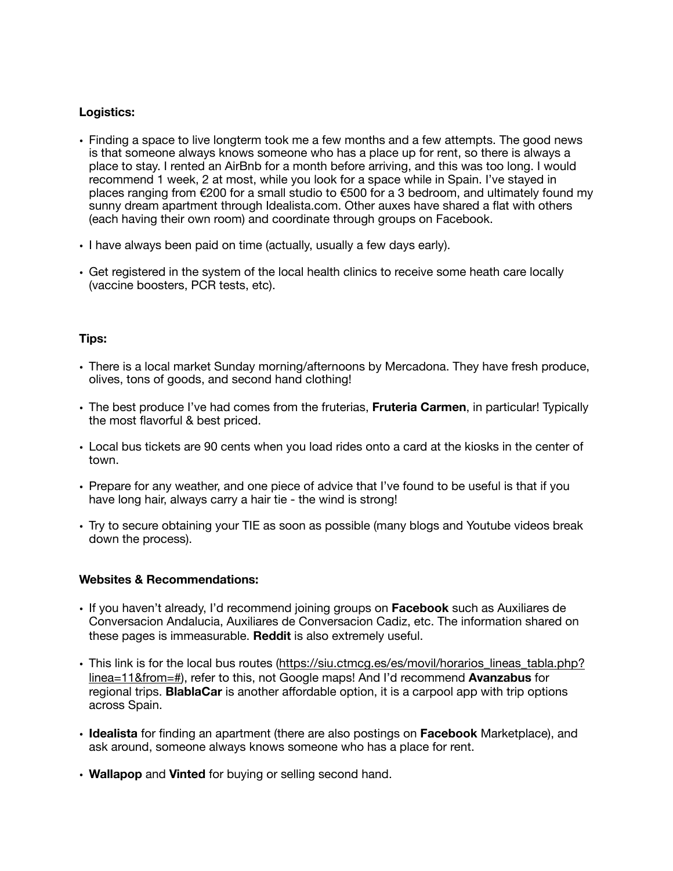## **Logistics:**

- Finding a space to live longterm took me a few months and a few attempts. The good news is that someone always knows someone who has a place up for rent, so there is always a place to stay. I rented an AirBnb for a month before arriving, and this was too long. I would recommend 1 week, 2 at most, while you look for a space while in Spain. I've stayed in places ranging from €200 for a small studio to €500 for a 3 bedroom, and ultimately found my sunny dream apartment through Idealista.com. Other auxes have shared a flat with others (each having their own room) and coordinate through groups on Facebook.
- I have always been paid on time (actually, usually a few days early).
- Get registered in the system of the local health clinics to receive some heath care locally (vaccine boosters, PCR tests, etc).

## **Tips:**

- There is a local market Sunday morning/afternoons by Mercadona. They have fresh produce, olives, tons of goods, and second hand clothing!
- The best produce I've had comes from the fruterias, **Fruteria Carmen**, in particular! Typically the most flavorful & best priced.
- Local bus tickets are 90 cents when you load rides onto a card at the kiosks in the center of town.
- Prepare for any weather, and one piece of advice that I've found to be useful is that if you have long hair, always carry a hair tie - the wind is strong!
- Try to secure obtaining your TIE as soon as possible (many blogs and Youtube videos break down the process).

## **Websites & Recommendations:**

- If you haven't already, I'd recommend joining groups on **Facebook** such as Auxiliares de Conversacion Andalucia, Auxiliares de Conversacion Cadiz, etc. The information shared on these pages is immeasurable. **Reddit** is also extremely useful.
- This link is for the local bus routes ([https://siu.ctmcg.es/es/movil/horarios\\_lineas\\_tabla.php?](https://siu.ctmcg.es/es/movil/horarios_lineas_tabla.php?linea=11&from=#) [linea=11&from=#\)](https://siu.ctmcg.es/es/movil/horarios_lineas_tabla.php?linea=11&from=#), refer to this, not Google maps! And I'd recommend **Avanzabus** for regional trips. **BlablaCar** is another affordable option, it is a carpool app with trip options across Spain.
- **Idealista** for finding an apartment (there are also postings on **Facebook** Marketplace), and ask around, someone always knows someone who has a place for rent.
- **Wallapop** and **Vinted** for buying or selling second hand.